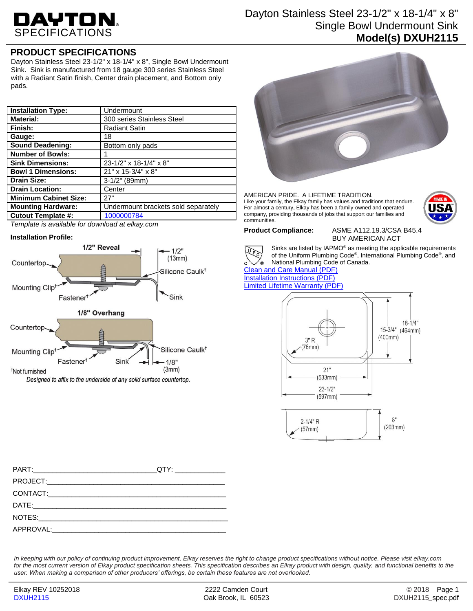# DAYTON.

## Dayton Stainless Steel 23-1/2" x 18-1/4" x 8" Single Bowl Undermount Sink **Model(s) DXUH2115**

# **PRODUCT SPECIFICATIONS**

Dayton Stainless Steel 23-1/2" x 18-1/4" x 8", Single Bowl Undermount Sink. Sink is manufactured from 18 gauge 300 series Stainless Steel with a Radiant Satin finish, Center drain placement, and Bottom only pads.

| <b>Installation Type:</b>    | Undermount                          |
|------------------------------|-------------------------------------|
|                              |                                     |
| <b>Material:</b>             | 300 series Stainless Steel          |
| Finish:                      | <b>Radiant Satin</b>                |
| Gauge:                       | 18                                  |
| <b>Sound Deadening:</b>      | Bottom only pads                    |
| <b>Number of Bowls:</b>      |                                     |
| <b>Sink Dimensions:</b>      | 23-1/2" x 18-1/4" x 8"              |
| <b>Bowl 1 Dimensions:</b>    | 21" x 15-3/4" x 8"                  |
| <b>Drain Size:</b>           | $3-1/2$ " (89mm)                    |
| <b>Drain Location:</b>       | Center                              |
| <b>Minimum Cabinet Size:</b> | 27"                                 |
| <b>Mounting Hardware:</b>    | Undermount brackets sold separately |
| <b>Cutout Template #:</b>    | 1000000784                          |

*Template is available for download at elkay.com*

#### **Installation Profile:**





AMERICAN PRIDE. A LIFETIME TRADITION. Like your family, the Elkay family has values and traditions that endure. For almost a century, Elkay has been a family-owned and operated company, providing thousands of jobs that support our families and communities.



**Product Compliance:** ASME A112.19.3/CSA B45.4 BUY AMERICAN ACT



Sinks are listed by IAPMO® as meeting the applicable requirements of the Uniform Plumbing Code® , International Plumbing Code® , and National Plumbing Code of Canada.

[Clean and Care Manual \(PDF\)](http://www.elkay.com/wcsstore/lkdocs/care-cleaning-install-warranty-sheets/residential%20and%20commercial%20care%20%20cleaning.pdf) [Installation Instructions \(PDF\)](http://www.elkay.com/wcsstore/lkdocs/care-cleaning-install-warranty-sheets/0000000229.pdf) [Limited Lifetime Warranty](http://www.elkay.com/wcsstore/lkdocs/care-cleaning-install-warranty-sheets/residential%20sinks%20warranty.pdf) (PDF)



| APPROVAL: APPROVAL: |  |
|---------------------|--|

*In keeping with our policy of continuing product improvement, Elkay reserves the right to change product specifications without notice. Please visit elkay.com*  for the most current version of Elkay product specification sheets. This specification describes an Elkay product with design, quality, and functional benefits to the *user. When making a comparison of other producers' offerings, be certain these features are not overlooked.*